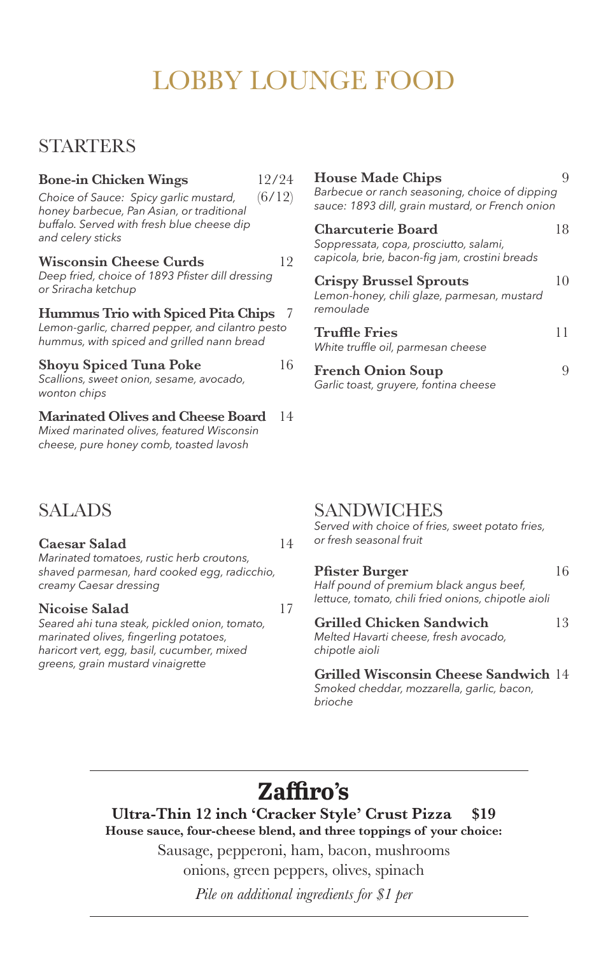# LOBBY LOUNGE FOOD

## **STARTERS**

| <b>Bone-in Chicken Wings</b>                                                                                                         | 12/24  | House N                            |
|--------------------------------------------------------------------------------------------------------------------------------------|--------|------------------------------------|
| Choice of Sauce: Spicy garlic mustard,<br>honey barbecue, Pan Asian, or traditional                                                  | (6/12) | <b>Barbecue</b><br>sauce: 189      |
| buffalo. Served with fresh blue cheese dip<br>and celery sticks                                                                      |        | Charcut<br>Soppressa               |
| Wisconsin Cheese Curds                                                                                                               | 12     | capicola, b                        |
| Deep fried, choice of 1893 Pfister dill dressing<br>or Sriracha ketchup                                                              |        | Crispy I<br>Lemon-hoi              |
| Hummus Trio with Spiced Pita Chips<br>Lemon-garlic, charred pepper, and cilantro pesto<br>hummus, with spiced and grilled nann bread |        | remoulade                          |
|                                                                                                                                      |        | Truffle l<br>White truff           |
| Shoyu Spiced Tuna Poke<br>Scallions, sweet onion, sesame, avocado,<br>wonton chips                                                   | 16     | French <sup>(</sup><br>Garlic toas |
| <b>Marinated Olives and Cheese Board</b><br>Mixed marinated olives, featured Wisconsin<br>cheese, pure honey comb, toasted lavosh    | 14     |                                    |
|                                                                                                                                      |        |                                    |

## **House Made Chips** 9 *Barbecue or ranch seasoning, choice of dipping sauce: 1893 dill, grain mustard, or French onion* **Charch Charco Charco Executerie Board** 18 *Soppressata, copa, prosciutto, salami, capicola, brie, bacon-fig jam, crostini breads* **Crispy Brussel Sprouts** 10 *Lemon-honey, chili glaze, parmesan, mustard*

| <i>remoulage</i>                                           |    |
|------------------------------------------------------------|----|
| <b>Truffle Fries</b><br>White truffle oil, parmesan cheese | 11 |
|                                                            |    |

**Franch Onion Soup** 9 *Garlic toast, gruyere, fontina cheese*

## SALADS

**Caesar Salad** 14 *Marinated tomatoes, rustic herb croutons, shaved parmesan, hard cooked egg, radicchio, creamy Caesar dressing*

### **Nicoise Salad** 17

*Seared ahi tuna steak, pickled onion, tomato, marinated olives, fingerling potatoes, haricort vert, egg, basil, cucumber, mixed greens, grain mustard vinaigrette*

## SANDWICHES

*Served with choice of fries, sweet potato fries, or fresh seasonal fruit*

| <b>Pfister Burger</b>                   | 16 |
|-----------------------------------------|----|
| Half pound of premium black angus beef, |    |

*lettuce, tomato, chili fried onions, chipotle aioli*

## **Grilled Chicken Sandwich** 13 *Melted Havarti cheese, fresh avocado,*

*chipotle aioli*

### **Grilled Wisconsin Cheese Sandwich** 14

*Smoked cheddar, mozzarella, garlic, bacon, brioche*

# **Zaffiro's**

**Ultra-Thin 12 inch 'Cracker Style' Crust Pizza \$19 House sauce, four-cheese blend, and three toppings of your choice:**

Sausage, pepperoni, ham, bacon, mushrooms

onions, green peppers, olives, spinach

*Pile on additional ingredients for \$1 per*